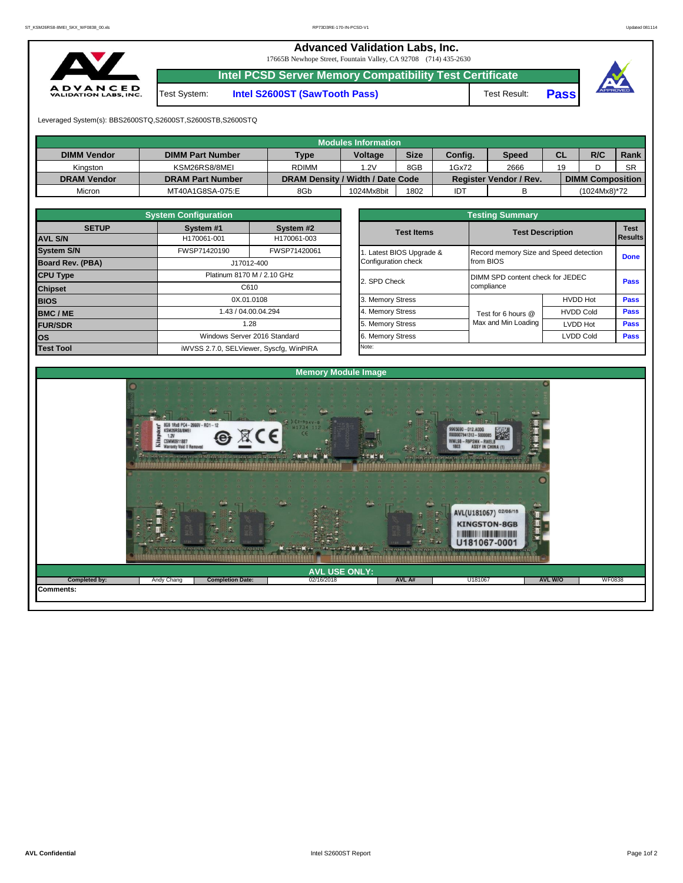**Advanced Validation Labs, Inc.** 

17665B Newhope Street, Fountain Valley, CA 92708 (714) 435-2630



**Intel PCSD Server Memory Compatibility Test Certificate**

Test System: **Intel S2600ST (SawTooth Pass)** Test Result: **Pass**





Leveraged System(s): BBS2600STQ,S2600ST,S2600STB,S2600STQ

|                    |                         |                                  | <b>Modules Information</b> |             |         |                               |           |                         |           |
|--------------------|-------------------------|----------------------------------|----------------------------|-------------|---------|-------------------------------|-----------|-------------------------|-----------|
| <b>DIMM Vendor</b> | <b>DIMM Part Number</b> | <b>Type</b>                      | <b>Voltage</b>             | <b>Size</b> | Config. | <b>Speed</b>                  | <b>CL</b> | R/C                     | Rank      |
| Kinaston           | KSM26RS8/8MEI           | <b>RDIMM</b>                     | .2V                        | 8GB         | 1Gx72   | 2666                          | 19        |                         | <b>SR</b> |
| <b>DRAM Vendor</b> | <b>DRAM Part Number</b> | DRAM Density / Width / Date Code |                            |             |         | <b>Register Vendor / Rev.</b> |           | <b>DIMM Composition</b> |           |
| Micron             | MT40A1G8SA-075:E        | 8Gb                              | 1024Mx8bit                 | 1802        | IDT     |                               |           | (1024Mx8)*72            |           |

|                                | <b>System Configuration</b> |                                         |              |                                  | <b>Testing Summary</b>                 |                         |             |  |  |
|--------------------------------|-----------------------------|-----------------------------------------|--------------|----------------------------------|----------------------------------------|-------------------------|-------------|--|--|
| <b>SETUP</b><br><b>AVL S/N</b> | System #1<br>System #2      |                                         |              | <b>Test Items</b>                |                                        | <b>Test Description</b> |             |  |  |
|                                | H170061-001                 | H170061-003                             |              |                                  |                                        |                         | Results     |  |  |
| <b>System S/N</b>              | FWSP71420190                | FWSP71420061                            |              | 1. Latest BIOS Upgrade &         | Record memory Size and Speed detection |                         | <b>Done</b> |  |  |
| <b>Board Rev. (PBA)</b>        |                             | J17012-400                              |              | Configuration check              | from BIOS                              |                         |             |  |  |
| <b>CPU Type</b>                | Platinum 8170 M / 2.10 GHz  |                                         | 2. SPD Check | DIMM SPD content check for JEDEC | Pass                                   |                         |             |  |  |
| <b>Chipset</b>                 |                             | C610                                    |              |                                  | compliance                             |                         |             |  |  |
| <b>BIOS</b>                    |                             | 0X.01.0108                              |              | 3. Memory Stress                 |                                        | <b>HVDD Hot</b>         | Pass        |  |  |
| <b>BMC/ME</b>                  |                             | .43 / 04.00.04.294                      |              | 4. Memory Stress                 | Test for 6 hours @                     | <b>HVDD Cold</b>        | <b>Pass</b> |  |  |
| <b>FUR/SDR</b>                 |                             | 1.28                                    |              | 5. Memory Stress                 | Max and Min Loading                    | <b>LVDD Hot</b>         | <b>Pass</b> |  |  |
| lOS.                           |                             | Windows Server 2016 Standard            |              | 6. Memory Stress                 |                                        | <b>LVDD Cold</b>        | Pass        |  |  |
| <b>Test Tool</b>               |                             | iWVSS 2.7.0, SELViewer, Syscfq, WinPIRA |              | Note:                            |                                        |                         |             |  |  |

|              | <b>System Configuration</b> |                                    | <b>Testing Summary</b> |                                        |                  |                |  |  |  |  |  |  |
|--------------|-----------------------------|------------------------------------|------------------------|----------------------------------------|------------------|----------------|--|--|--|--|--|--|
| <b>SETUP</b> | System #1                   | System #2                          | <b>Test Items</b>      | <b>Test Description</b>                |                  | <b>Test</b>    |  |  |  |  |  |  |
|              | H170061-001                 | H170061-003                        |                        |                                        |                  | <b>Results</b> |  |  |  |  |  |  |
|              | FWSP71420190                | FWSP71420061                       | Latest BIOS Upgrade &  | Record memory Size and Speed detection |                  | <b>Done</b>    |  |  |  |  |  |  |
| PBA)         |                             | J17012-400                         | Configuration check    | from BIOS                              |                  |                |  |  |  |  |  |  |
|              |                             | Platinum 8170 M / 2.10 GHz         | 2. SPD Check           | DIMM SPD content check for JEDEC       | Pass             |                |  |  |  |  |  |  |
|              |                             | C610                               |                        | compliance                             |                  |                |  |  |  |  |  |  |
|              |                             | 0X.01.0108                         | 3. Memory Stress       |                                        | <b>HVDD Hot</b>  | Pass           |  |  |  |  |  |  |
|              |                             | 1.43 / 04.00.04.294                | 4. Memory Stress       | Test for 6 hours @                     | <b>HVDD Cold</b> | Pass           |  |  |  |  |  |  |
|              |                             | 1.28                               | 5. Memory Stress       | Max and Min Loading                    | LVDD Hot         |                |  |  |  |  |  |  |
|              |                             | Windows Server 2016 Standard       | 6. Memory Stress       |                                        | <b>LVDD Cold</b> | <b>Pass</b>    |  |  |  |  |  |  |
|              |                             | iMVSS 270 SELViewer Svecta WinPIRA | Note:                  |                                        |                  |                |  |  |  |  |  |  |